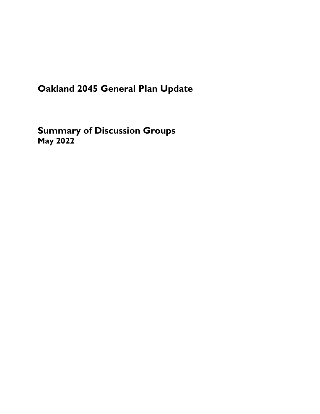# **Oakland 2045 General Plan Update**

**Summary of Discussion Groups May 2022**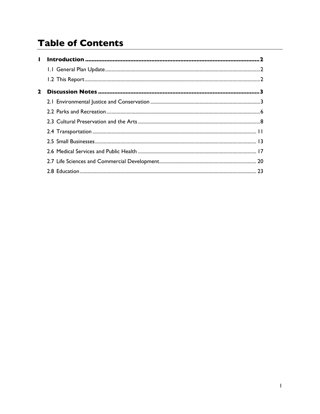# **Table of Contents**

| ш           |  |
|-------------|--|
|             |  |
|             |  |
| $\mathbf 2$ |  |
|             |  |
|             |  |
|             |  |
|             |  |
|             |  |
|             |  |
|             |  |
|             |  |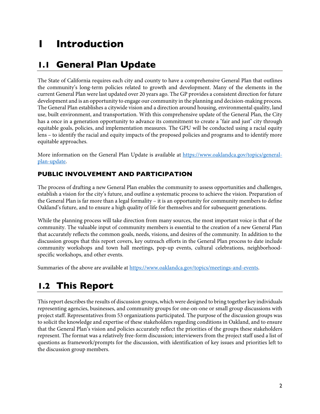# <span id="page-2-0"></span>**1 Introduction**

## **1.1 General Plan Update**

The State of California requires each city and county to have a comprehensive General Plan that outlines the community's long-term policies related to growth and development. Many of the elements in the current General Plan were last updated over 20 years ago. The GP provides a consistent direction for future development and is an opportunity to engage our community in the planning and decision-making process. The General Plan establishes a citywide vision and a direction around housing, environmental quality, land use, built environment, and transportation. With this comprehensive update of the General Plan, the City has a once in a generation opportunity to advance its commitment to create a "fair and just" city through equitable goals, policies, and implementation measures. The GPU will be conducted using a racial equity lens – to identify the racial and equity impacts of the proposed policies and programs and to identify more equitable approaches.

More information on the General Plan Update is available at https://www.oaklandca.gov/topics/generalplan-update.

## **PUBLIC INVOLVEMENT AND PARTICIPATION**

The process of drafting a new General Plan enables the community to assess opportunities and challenges, establish a vision for the city's future, and outline a systematic process to achieve the vision. Preparation of the General Plan is far more than a legal formality – it is an opportunity for community members to define Oakland's future, and to ensure a high quality of life for themselves and for subsequent generations.

While the planning process will take direction from many sources, the most important voice is that of the community. The valuable input of community members is essential to the creation of a new General Plan that accurately reflects the common goals, needs, visions, and desires of the community. In addition to the discussion groups that this report covers, key outreach efforts in the General Plan process to date include community workshops and town hall meetings, pop-up events, cultural celebrations, neighborhoodspecific workshops, and other events.

Summaries of the above are available at https://www.oaklandca.gov/topics/meetings-and-events.

# **1.2 This Report**

This report describes the results of discussion groups, which were designed to bring together key individuals representing agencies, businesses, and community groups for one-on-one or small group discussions with project staff. Representatives from 53 organizations participated. The purpose of the discussion groups was to solicit the knowledge and expertise of these stakeholders regarding conditions in Oakland, and to ensure that the General Plan's vision and policies accurately reflect the priorities of the groups these stakeholders represent. The format was a relatively free-form discussion; interviewers from the project staff used a list of questions as framework/prompts for the discussion, with identification of key issues and priorities left to the discussion group members.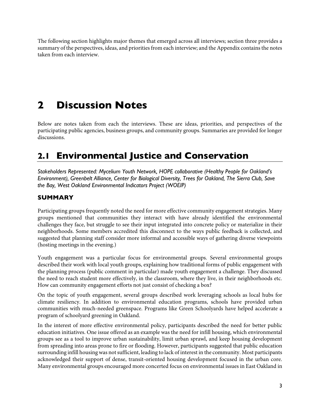<span id="page-3-0"></span>The following section highlights major themes that emerged across all interviews; section three provides a summary of the perspectives, ideas, and priorities from each interview; and the Appendix contains the notes taken from each interview.

# **2 Discussion Notes**

Below are notes taken from each the interviews. These are ideas, priorities, and perspectives of the participating public agencies, business groups, and community groups. Summaries are provided for longer discussions.

## **2.1 Environmental Justice and Conservation**

*Stakeholders Represented: Mycelium Youth Network, HOPE collaborative (Healthy People for Oakland's Environment), Greenbelt Alliance, Center for Biological Diversity, Trees for Oakland, The Sierra Club, Save the Bay, West Oakland Environmental Indicators Project (WOEIP)*

## **SUMMARY**

Participating groups frequently noted the need for more effective community engagement strategies. Many groups mentioned that communities they interact with have already identified the environmental challenges they face, but struggle to see their input integrated into concrete policy or materialize in their neighborhoods. Some members accredited this disconnect to the ways public feedback is collected, and suggested that planning staff consider more informal and accessible ways of gathering diverse viewpoints (hosting meetings in the evening.)

Youth engagement was a particular focus for environmental groups. Several environmental groups described their work with local youth groups, explaining how traditional forms of public engagement with the planning process (public comment in particular) made youth engagement a challenge. They discussed the need to reach student more effectively, in the classroom, where they live, in their neighborhoods etc. How can community engagement efforts not just consist of checking a box?

On the topic of youth engagement, several groups described work leveraging schools as local hubs for climate resiliency. In addition to environmental education programs, schools have provided urban communities with much-needed greenspace. Programs like Green Schoolyards have helped accelerate a program of schoolyard greening in Oakland.

In the interest of more effective environmental policy, participants described the need for better public education initiatives. One issue offered as an example was the need for infill housing, which environmental groups see as a tool to improve urban sustainability, limit urban sprawl, and keep housing development from spreading into areas prone to fire or flooding. However, participants suggested that public education surrounding infill housing was not sufficient, leading to lack of interest in the community. Most participants acknowledged their support of dense, transit-oriented housing development focused in the urban core. Many environmental groups encouraged more concerted focus on environmental issues in East Oakland in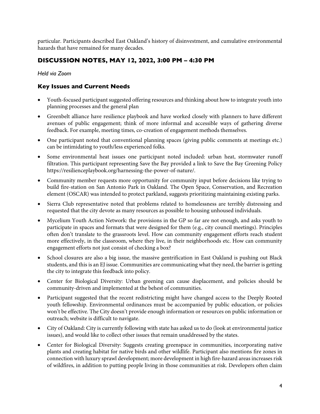particular. Participants described East Oakland's history of disinvestment, and cumulative environmental hazards that have remained for many decades.

## **DISCUSSION NOTES, MAY 12, 2022, 3:00 PM – 4:30 PM**

*Held via Zoom*

- Youth-focused participant suggested offering resources and thinking about how to integrate youth into planning processes and the general plan
- Greenbelt alliance have resilience playbook and have worked closely with planners to have different avenues of public engagement; think of more informal and accessible ways of gathering diverse feedback. For example, meeting times, co-creation of engagement methods themselves.
- One participant noted that conventional planning spaces (giving public comments at meetings etc.) can be intimidating to youth/less experienced folks.
- Some environmental heat issues one participant noted included: urban heat, stormwater runoff filtration. This participant representing Save the Bay provided a link to Save the Bay Greening Policy https://resilienceplaybook.org/harnessing-the-power-of-nature/.
- Community member requests more opportunity for community input before decisions like trying to build fire-station on San Antonio Park in Oakland. The Open Space, Conservation, and Recreation element (OSCAR) was intended to protect parkland, suggests prioritizing maintaining existing parks.
- Sierra Club representative noted that problems related to homelessness are terribly distressing and requested that the city devote as many resources as possible to housing unhoused individuals.
- Mycelium Youth Action Network: the provisions in the GP so far are not enough, and asks youth to participate in spaces and formats that were designed for them (e.g., city council meetings). Principles often don't translate to the grassroots level. How can community engagement efforts reach student more effectively, in the classroom, where they live, in their neighborhoods etc. How can community engagement efforts not just consist of checking a box?
- School closures are also a big issue, the massive gentrification in East Oakland is pushing out Black students, and this is an EJ issue. Communities are communicating what they need, the barrier is getting the city to integrate this feedback into policy.
- Center for Biological Diversity: Urban greening can cause displacement, and policies should be community-driven and implemented at the behest of communities.
- Participant suggested that the recent redistricting might have changed access to the Deeply Rooted youth fellowship. Environmental ordinances must be accompanied by public education, or policies won't be effective. The City doesn't provide enough information or resources on public information or outreach; website is difficult to navigate.
- City of Oakland: City is currently following with state has asked us to do (look at environmental justice issues), and would like to collect other issues that remain unaddressed by the states.
- Center for Biological Diversity: Suggests creating greenspace in communities, incorporating native plants and creating habitat for native birds and other wildlife. Participant also mentions fire zones in connection with luxury sprawl development; more development in high fire-hazard areas increases risk of wildfires, in addition to putting people living in those communities at risk. Developers often claim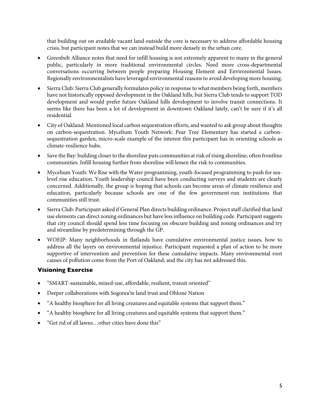that building out on available vacant land outside the core is necessary to address affordable housing crisis, but participant notes that we can instead build more densely in the urban core.

- Greenbelt Alliance notes that need for infill housing is not extremely apparent to many in the general public, particularly in more traditional environmental circles. Need more cross-departmental conversations occurring between people preparing Housing Element and Environmental Issues. Regionally environmentalists have leveraged environmental reasons to avoid developing more housing.
- Sierra Club: Sierra Club generally formulates policy in response to what members being forth, members have not historically opposed development in the Oakland hills, but Sierra Club tends to support TOD development and would prefer future Oakland hills development to involve transit connections. It seems like there has been a lot of development in downtown Oakland lately, can't be sure if it's all residential.
- City of Oakland: Mentioned local carbon sequestration efforts, and wanted to ask group about thoughts on carbon-sequestration. Mycelium Youth Network: Pear Tree Elementary has started a carbonsequestration garden, micro-scale example of the interest this participant has in orienting schools as climate-resilience hubs.
- Save the Bay: building closer to the shoreline puts communities at risk of rising shoreline, often frontline communities. Infill housing further from shoreline will lessen the risk to communities.
- Mycelium Youth: We Rise with the Water programming, youth-focused programming to push for sealevel rise education. Youth leadership council have been conducting surveys and students are clearly concerned. Additionally, the group is hoping that schools can become areas of climate resilience and education, particularly because schools are one of the few government-run institutions that communities still trust.
- Sierra Club: Participant asked if General Plan directs building ordinance. Project staff clarified that land use elements can direct zoning ordinances but have less influence on building code. Participant suggests that city council should spend less time focusing on obscure building and zoning ordinances and try and streamline by predetermining through the GP.
- WOEIP: Many neighborhoods in flatlands have cumulative environmental justice issues, how to address all the layers on environmental injustice. Participant requested a plan of action to be more supportive of intervention and prevention for these cumulative impacts. Many environmental root causes of pollution come from the Port of Oakland, and the city has not addressed this.

## **Visioning Exercise**

- "SMART-sustainable, mixed-use, affordable, resilient, transit oriented"
- Deeper collaborations with Sogorea'te land trust and Ohlone Nation
- "A healthy biosphere for all living creatures and equitable systems that support them."
- "A healthy biosphere for all living creatures and equitable systems that support them."
- "Get rid of all lawns…other cities have done this"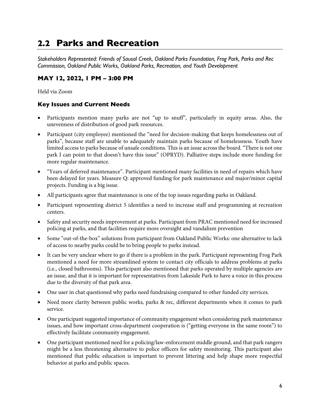## <span id="page-6-0"></span>**2.2 Parks and Recreation**

*Stakeholders Represented: Friends of Sausal Creek, Oakland Parks Foundation, Frog Park, Parks and Rec Commission, Oakland Public Works, Oakland Parks, Recreation, and Youth Development*

## **MAY 12, 2022, 1 PM – 3:00 PM**

Held via Zoom

- Participants mention many parks are not "up to snuff", particularly in equity areas. Also, the unevenness of distribution of good park resources.
- Participant (city employee) mentioned the "need for decision-making that keeps homelessness out of parks", because staff are unable to adequately maintain parks because of homelessness. Youth have limited access to parks because of unsafe conditions. This is an issue across the board. "There is not one park I can point to that doesn't have this issue" (OPRYD). Palliative steps include more funding for more regular maintenance.
- "Years of deferred maintenance". Participant mentioned many facilities in need of repairs which have been delayed for years. Measure Q: approved funding for park maintenance and major/minor capital projects. Funding is a big issue.
- All participants agree that maintenance is one of the top issues regarding parks in Oakland.
- Participant representing district 5 identifies a need to increase staff and programming at recreation centers.
- Safety and security needs improvement at parks. Participant from PRAC mentioned need for increased policing at parks, and that facilities require more oversight and vandalism prevention
- Some "out-of-the-box" solutions from participant from Oakland Public Works: one alternative to lack of access to nearby parks could be to bring people to parks instead.
- It can be very unclear where to go if there is a problem in the park. Participant representing Frog Park mentioned a need for more streamlined system to contact city officials to address problems at parks (i.e., closed bathrooms). This participant also mentioned that parks operated by multiple agencies are an issue, and that it is important for representatives from Lakeside Park to have a voice in this process due to the diversity of that park area.
- One user in chat questioned why parks need fundraising compared to other funded city services.
- Need more clarity between public works, parks & rec, different departments when it comes to park service.
- One participant suggested importance of community engagement when considering park maintenance issues, and how important cross-department cooperation is ("getting everyone in the same room") to effectively facilitate community engagement.
- One participant mentioned need for a policing/law-enforcement middle ground, and that park rangers might be a less threatening alternative to police officers for safety monitoring. This participant also mentioned that public education is important to prevent littering and help shape more respectful behavior at parks and public spaces.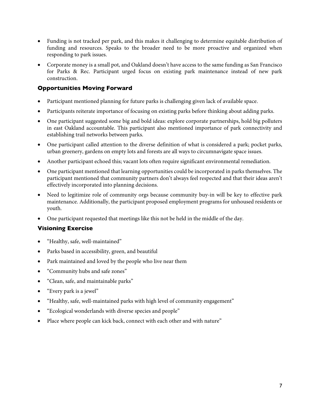- Funding is not tracked per park, and this makes it challenging to determine equitable distribution of funding and resources. Speaks to the broader need to be more proactive and organized when responding to park issues.
- Corporate money is a small pot, and Oakland doesn't have access to the same funding as San Francisco for Parks & Rec. Participant urged focus on existing park maintenance instead of new park construction.

## **Opportunities Moving Forward**

- Participant mentioned planning for future parks is challenging given lack of available space.
- Participants reiterate importance of focusing on existing parks before thinking about adding parks.
- One participant suggested some big and bold ideas: explore corporate partnerships, hold big polluters in east Oakland accountable. This participant also mentioned importance of park connectivity and establishing trail networks between parks.
- One participant called attention to the diverse definition of what is considered a park; pocket parks, urban greenery, gardens on empty lots and forests are all ways to circumnavigate space issues.
- Another participant echoed this; vacant lots often require significant environmental remediation.
- One participant mentioned that learning opportunities could be incorporated in parks themselves. The participant mentioned that community partners don't always feel respected and that their ideas aren't effectively incorporated into planning decisions.
- Need to legitimize role of community orgs because community buy-in will be key to effective park maintenance. Additionally, the participant proposed employment programs for unhoused residents or youth.
- One participant requested that meetings like this not be held in the middle of the day.

## **Visioning Exercise**

- "Healthy, safe, well-maintained"
- Parks based in accessibility, green, and beautiful
- Park maintained and loved by the people who live near them
- "Community hubs and safe zones"
- "Clean, safe, and maintainable parks"
- "Every park is a jewel"
- "Healthy, safe, well-maintained parks with high level of community engagement"
- "Ecological wonderlands with diverse species and people"
- Place where people can kick back, connect with each other and with nature"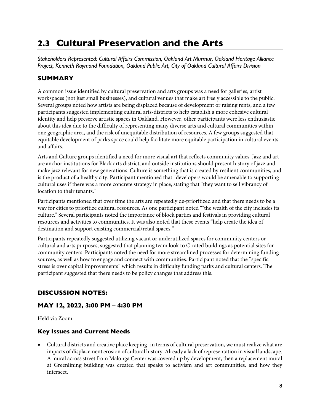## <span id="page-8-0"></span>**2.3 Cultural Preservation and the Arts**

*Stakeholders Represented: Cultural Affairs Commission, Oakland Art Murmur, Oakland Heritage Alliance Project, Kenneth Raymond Foundation, Oakland Public Art, City of Oakland Cultural Affairs Division*

## **SUMMARY**

A common issue identified by cultural preservation and arts groups was a need for galleries, artist workspaces (not just small businesses), and cultural venues that make art freely accessible to the public. Several groups noted how artists are being displaced because of development or raising rents, and a few participants suggested implementing cultural arts-districts to help establish a more cohesive cultural identity and help preserve artistic spaces in Oakland. However, other participants were less enthusiastic about this idea due to the difficulty of representing many diverse arts and cultural communities within one geographic area, and the risk of unequitable distribution of resources. A few groups suggested that equitable development of parks space could help facilitate more equitable participation in cultural events and affairs.

Arts and Culture groups identified a need for more visual art that reflects community values. Jazz and artare anchor institutions for Black arts district, and outside institutions should present history of jazz and make jazz relevant for new generations. Culture is something that is created by resilient communities, and is the product of a healthy city. Participant mentioned that "developers would be amenable to supporting cultural uses if there was a more concrete strategy in place, stating that "they want to sell vibrancy of location to their tenants."

Participants mentioned that over time the arts are repeatedly de-prioritized and that there needs to be a way for cities to prioritize cultural resources. As one participant noted ""the wealth of the city includes its culture." Several participants noted the importance of block parties and festivals in providing cultural resources and activities to communities. It was also noted that these events "help create the idea of destination and support existing commercial/retail spaces."

Participants repeatedly suggested utilizing vacant or underutilized spaces for community centers or cultural and arts purposes, suggested that planning team look to C-rated buildings as potential sites for community centers. Participants noted the need for more streamlined processes for determining funding sources, as well as how to engage and connect with communities. Participant noted that the "specific stress is over capital improvements" which results in difficulty funding parks and cultural centers. The participant suggested that there needs to be policy changes that address this.

## **DISCUSSION NOTES:**

## **MAY 12, 2022, 3:00 PM – 4:30 PM**

Held via Zoom

## **Key Issues and Current Needs**

• Cultural districts and creative place keeping- in terms of cultural preservation, we must realize what are impacts of displacement erosion of cultural history. Already a lack of representation in visual landscape. A mural across street from Malonga Center was covered up by development, then a replacement mural at Greenlining building was created that speaks to activism and art communities, and how they intersect.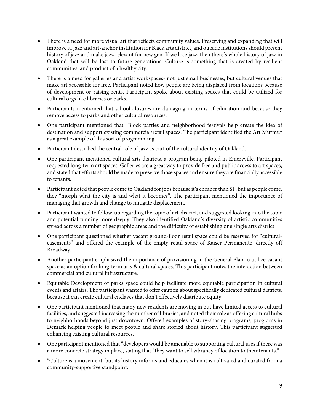- There is a need for more visual art that reflects community values. Preserving and expanding that will improve it. Jazz and art-anchor institution for Black arts district, and outside institutions should present history of jazz and make jazz relevant for new gen. If we lose jazz, then there's whole history of jazz in Oakland that will be lost to future generations. Culture is something that is created by resilient communities, and product of a healthy city.
- There is a need for galleries and artist workspaces- not just small businesses, but cultural venues that make art accessible for free. Participant noted how people are being displaced from locations because of development or raising rents. Participant spoke about existing spaces that could be utilized for cultural orgs like libraries or parks.
- Participants mentioned that school closures are damaging in terms of education and because they remove access to parks and other cultural resources.
- One participant mentioned that "Block parties and neighborhood festivals help create the idea of destination and support existing commercial/retail spaces. The participant identified the Art Murmur as a great example of this sort of programming.
- Participant described the central role of jazz as part of the cultural identity of Oakland.
- One participant mentioned cultural arts districts, a program being piloted in Emeryville. Participant requested long-term art spaces. Galleries are a great way to provide free and public access to art spaces, and stated that efforts should be made to preserve those spaces and ensure they are financially accessible to tenants.
- Participant noted that people come to Oakland for jobs because it's cheaper than SF, but as people come, they "morph what the city is and what it becomes". The participant mentioned the importance of managing that growth and change to mitigate displacement.
- Participant wanted to follow-up regarding the topic of art-district, and suggested looking into the topic and potential funding more deeply. They also identified Oakland's diversity of artistic communities spread across a number of geographic areas and the difficulty of establishing one single arts district
- One participant questioned whether vacant ground-floor retail space could be reserved for "culturaleasements" and offered the example of the empty retail space of Kaiser Permanente, directly off Broadway.
- Another participant emphasized the importance of provisioning in the General Plan to utilize vacant space as an option for long-term arts & cultural spaces. This participant notes the interaction between commercial and cultural infrastructure.
- Equitable Development of parks space could help facilitate more equitable participation in cultural events and affairs. The participant wanted to offer caution about specifically dedicated cultural districts, because it can create cultural enclaves that don't effectively distribute equity.
- One participant mentioned that many new residents are moving in but have limited access to cultural facilities, and suggested increasing the number of libraries, and noted their role as offering cultural hubs to neighborhoods beyond just downtown. Offered examples of story-sharing programs, programs in Demark helping people to meet people and share storied about history. This participant suggested enhancing existing cultural resources.
- One participant mentioned that "developers would be amenable to supporting cultural uses if there was a more concrete strategy in place, stating that "they want to sell vibrancy of location to their tenants."
- "Culture is a movement! but its history informs and educates when it is cultivated and curated from a community-supportive standpoint."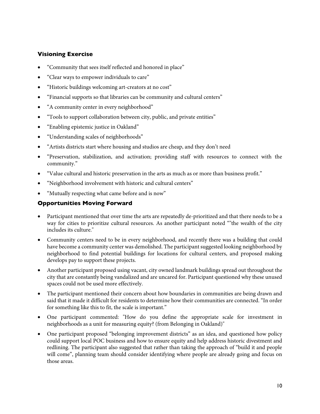## **Visioning Exercise**

- "Community that sees itself reflected and honored in place"
- "Clear ways to empower individuals to care"
- "Historic buildings welcoming art-creators at no cost"
- "Financial supports so that libraries can be community and cultural centers"
- "A community center in every neighborhood"
- "Tools to support collaboration between city, public, and private entities"
- "Enabling epistemic justice in Oakland"
- "Understanding scales of neighborhoods"
- "Artists districts start where housing and studios are cheap, and they don't need
- "Preservation, stabilization, and activation; providing staff with resources to connect with the community."
- "Value cultural and historic preservation in the arts as much as or more than business profit."
- "Neighborhood involvement with historic and cultural centers"
- "Mutually respecting what came before and is now"

#### **Opportunities Moving Forward**

- Participant mentioned that over time the arts are repeatedly de-prioritized and that there needs to be a way for cities to prioritize cultural resources. As another participant noted ""the wealth of the city includes its culture."
- Community centers need to be in every neighborhood, and recently there was a building that could have become a community center was demolished. The participant suggested looking neighborhood by neighborhood to find potential buildings for locations for cultural centers, and proposed making develops pay to support these projects.
- Another participant proposed using vacant, city owned landmark buildings spread out throughout the city that are constantly being vandalized and are uncared for. Participant questioned why these unused spaces could not be used more effectively.
- The participant mentioned their concern about how boundaries in communities are being drawn and said that it made it difficult for residents to determine how their communities are connected. "In order for something like this to fit, the scale is important."
- One participant commented: "How do you define the appropriate scale for investment in neighborhoods as a unit for measuring equity? (from Belonging in Oakland)"
- One participant proposed "belonging improvement districts" as an idea, and questioned how policy could support local POC business and how to ensure equity and help address historic divestment and redlining. The participant also suggested that rather than taking the approach of "build it and people will come", planning team should consider identifying where people are already going and focus on those areas.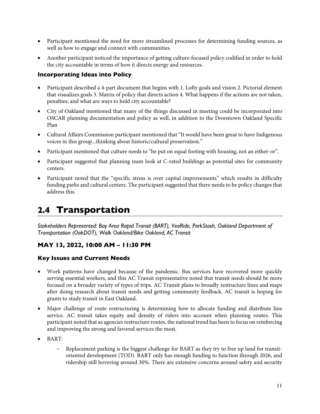- <span id="page-11-0"></span>• Participant mentioned the need for more streamlined processes for determining funding sources, as well as how to engage and connect with communities.
- Another participant noticed the importance of getting culture-focused policy codified in order to hold the city accountable in terms of how it directs energy and resources.

### **Incorporating Ideas into Policy**

- Participant described a 4-part document that begins with 1. Lofty goals and vision 2. Pictorial element that visualizes goals 3. Matrix of policy that directs action 4. What happens if the actions are not taken, penalties, and what are ways to hold city accountable?
- City of Oakland mentioned that many of the things discussed in meeting could be incorporated into OSCAR planning documentation and policy as well, in addition to the Downtown Oakland Specific Plan
- Cultural Affairs Commission participant mentioned that "It would have been great to have Indigenous voices in this group...thinking about historic/cultural preservation."
- Participant mentioned that culture needs to "be put on equal footing with housing, not an either-or".
- Participant suggested that planning team look at C-rated buildings as potential sites for community centers.
- Participant noted that the "specific stress is over capital improvements" which results in difficulty funding parks and cultural centers. The participant suggested that there needs to be policy changes that address this.

## **2.4 Transportation**

*Stakeholders Represented: Bay Area Rapid Transit (BART), VeoRide, ParkStash, Oakland Department of Transportation (OakDOT), Walk Oakland/Bike Oakland, AC Transit*

## **MAY 13, 2022, 10:00 AM – 11:30 PM**

- Work patterns have changed because of the pandemic. Bus services have recovered more quickly serving essential workers, and this AC Transit representative noted that transit needs should be more focused on a broader variety of types of trips. AC Transit plans to broadly restructure lines and maps after doing research about transit needs and getting community feedback. AC transit is hoping for grants to study transit in East Oakland.
- Major challenge of route restructuring is determining how to allocate funding and distribute line service. AC transit takes equity and density of riders into account when planning routes. This participant noted that as agencies restructure routes, the national trend has been to focus on reinforcing and improving the strong and favored services the most.
- BART:
	- Replacement parking is the biggest challenge for BART as they try to free up land for transitoriented development (TOD). BART only has enough funding to function through 2026, and ridership still hovering around 30%. There are extensive concerns around safety and security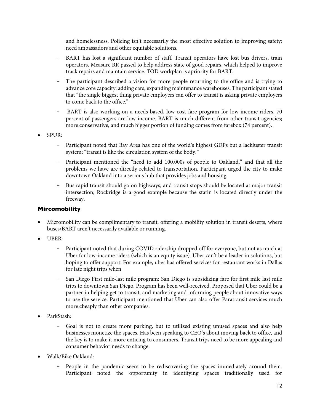and homelessness. Policing isn't necessarily the most effective solution to improving safety; need ambassadors and other equitable solutions.

- BART has lost a significant number of staff. Transit operators have lost bus drivers, train operators, Measure RR passed to help address state of good repairs, which helped to improve track repairs and maintain service. TOD workplan is apriority for BART.
- The participant described a vision for more people returning to the office and is trying to advance core capacity: adding cars, expanding maintenance warehouses. The participant stated that "the single biggest thing private employers can offer to transit is asking private employers to come back to the office."
- BART is also working on a needs-based, low-cost fare program for low-income riders. 70 percent of passengers are low-income. BART is much different from other transit agencies; more conservative, and much bigger portion of funding comes from farebox (74 percent).
- SPUR:
	- Participant noted that Bay Area has one of the world's highest GDPs but a lackluster transit system; "transit is like the circulation system of the body."
	- Participant mentioned the "need to add 100,000s of people to Oakland," and that all the problems we have are directly related to transportation. Participant urged the city to make downtown Oakland into a serious hub that provides jobs and housing.
	- Bus rapid transit should go on highways, and transit stops should be located at major transit intersection; Rockridge is a good example because the statin is located directly under the freeway.

#### **Mircomobility**

- Micromobility can be complimentary to transit, offering a mobility solution in transit deserts, where buses/BART aren't necessarily available or running.
- UBER:
	- Participant noted that during COVID ridership dropped off for everyone, but not as much at Uber for low-income riders (which is an equity issue). Uber can't be a leader in solutions, but hoping to offer support. For example, uber has offered services for restaurant works in Dallas for late night trips when
	- San Diego First mile-last mile program: San Diego is subsidizing fare for first mile last mile trips to downtown San Diego. Program has been well-received. Proposed that Uber could be a partner in helping get to transit, and marketing and informing people about innovative ways to use the service. Participant mentioned that Uber can also offer Paratransit services much more cheaply than other companies.
- ParkStash:
	- Goal is not to create more parking, but to utilized existing unused spaces and also help businesses monetize the spaces. Has been speaking to CEO's about moving back to office, and the key is to make it more enticing to consumers. Transit trips need to be more appealing and consumer behavior needs to change.
- Walk/Bike Oakland:
	- People in the pandemic seem to be rediscovering the spaces immediately around them. Participant noted the opportunity in identifying spaces traditionally used for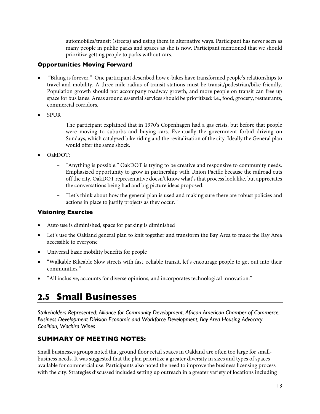automobiles/transit (streets) and using them in alternative ways. Participant has never seen as many people in public parks and spaces as she is now. Participant mentioned that we should prioritize getting people to parks without cars.

## <span id="page-13-0"></span>**Opportunities Moving Forward**

- "Biking is forever." One participant described how e-bikes have transformed people's relationships to travel and mobility. A three mile radius of transit stations must be transit/pedestrian/bike friendly. Population growth should not accompany roadway growth, and more people on transit can free up space for bus lanes. Areas around essential services should be prioritized: i.e., food, grocery, restaurants, commercial corridors.
- SPUR
	- The participant explained that in 1970's Copenhagen had a gas crisis, but before that people were moving to suburbs and buying cars. Eventually the government forbid driving on Sundays, which catalyzed bike riding and the revitalization of the city. Ideally the General plan would offer the same shock.
- OakDOT:
	- "Anything is possible." OakDOT is trying to be creative and responsive to community needs. Emphasized opportunity to grow in partnership with Union Pacific because the railroad cuts off the city. OakDOT representative doesn't know what's that process look like, but appreciates the conversations being had and big picture ideas proposed.
	- "Let's think about how the general plan is used and making sure there are robust policies and actions in place to justify projects as they occur."

## **Visioning Exercise**

- Auto use is diminished, space for parking is diminished
- Let's use the Oakland general plan to knit together and transform the Bay Area to make the Bay Area accessible to everyone
- Universal basic mobility benefits for people
- "Walkable Bikeable Slow streets with fast, reliable transit, let's encourage people to get out into their communities."
- "All inclusive, accounts for diverse opinions, and incorporates technological innovation."

## **2.5 Small Businesses**

*Stakeholders Represented: Alliance for Community Development, African American Chamber of Commerce, Business Development Division Economic and Workforce Development, Bay Area Housing Advocacy Coalition, Wachira Wines*

## **SUMMARY OF MEETING NOTES:**

Small businesses groups noted that ground floor retail spaces in Oakland are often too large for smallbusiness needs. It was suggested that the plan prioritize a greater diversity in sizes and types of spaces available for commercial use. Participants also noted the need to improve the business licensing process with the city. Strategies discussed included setting up outreach in a greater variety of locations including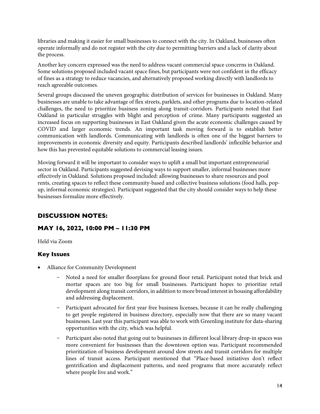libraries and making it easier for small businesses to connect with the city. In Oakland, businesses often operate informally and do not register with the city due to permitting barriers and a lack of clarity about the process.

Another key concern expressed was the need to address vacant commercial space concerns in Oakland. Some solutions proposed included vacant space fines, but participants were not confident in the efficacy of fines as a strategy to reduce vacancies, and alternatively proposed working directly with landlords to reach agreeable outcomes.

Several groups discussed the uneven geographic distribution of services for businesses in Oakland. Many businesses are unable to take advantage of flex streets, parklets, and other programs due to location-related challenges, the need to prioritize business zoning along transit-corridors. Participants noted that East Oakland in particular struggles with blight and perception of crime. Many participants suggested an increased focus on supporting businesses in East Oakland given the acute economic challenges caused by COVID and larger economic trends. An important task moving forward is to establish better communication with landlords. Communicating with landlords is often one of the biggest barriers to improvements in economic diversity and equity. Participants described landlords' inflexible behavior and how this has prevented equitable solutions to commercial leasing issues.

Moving forward it will be important to consider ways to uplift a small but important entrepreneurial sector in Oakland. Participants suggested devising ways to support smaller, informal businesses more effectively in Oakland. Solutions proposed included: allowing businesses to share resources and pool rents, creating spaces to reflect these community-based and collective business solutions (food halls, popup, informal economic strategies). Participant suggested that the city should consider ways to help these businesses formalize more effectively.

## **DISCUSSION NOTES:**

## **MAY 16, 2022, 10:00 PM – 11:30 PM**

Held via Zoom

## **Key Issues**

- Alliance for Community Development
	- Noted a need for smaller floorplans for ground floor retail. Participant noted that brick and mortar spaces are too big for small businesses. Participant hopes to prioritize retail development along transit corridors, in addition to more broad interest in housing affordability and addressing displacement.
	- Participant advocated for first year free business licenses, because it can be really challenging to get people registered in business directory, especially now that there are so many vacant businesses. Last year this participant was able to work with Greenling institute for data-sharing opportunities with the city, which was helpful.
	- Participant also noted that going out to businesses in different local library drop-in spaces was more convenient for businesses than the downtown option was. Participant recommended prioritization of business development around slow streets and transit corridors for multiple lines of transit access. Participant mentioned that "Place-based initiatives don't reflect gentrification and displacement patterns, and need programs that more accurately reflect where people live and work."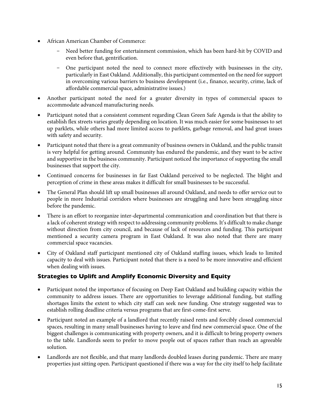- African American Chamber of Commerce:
	- Need better funding for entertainment commission, which has been hard-hit by COVID and even before that, gentrification.
	- One participant noted the need to connect more effectively with businesses in the city, particularly in East Oakland. Additionally, this participant commented on the need for support in overcoming various barriers to business development (i.e., finance, security, crime, lack of affordable commercial space, administrative issues.)
- Another participant noted the need for a greater diversity in types of commercial spaces to accommodate advanced manufacturing needs.
- Participant noted that a consistent comment regarding Clean Green Safe Agenda is that the ability to establish flex streets varies greatly depending on location. It was much easier for some businesses to set up parklets, while others had more limited access to parklets, garbage removal, and had great issues with safety and security.
- Participant noted that there is a great community of business owners in Oakland, and the public transit is very helpful for getting around. Community has endured the pandemic, and they want to be active and supportive in the business community. Participant noticed the importance of supporting the small businesses that support the city.
- Continued concerns for businesses in far East Oakland perceived to be neglected. The blight and perception of crime in these areas makes it difficult for small businesses to be successful.
- The General Plan should lift up small businesses all around Oakland, and needs to offer service out to people in more Industrial corridors where businesses are struggling and have been struggling since before the pandemic.
- There is an effort to reorganize inter-departmental communication and coordination but that there is a lack of coherent strategy with respect to addressing community problems. It's difficult to make change without direction from city council, and because of lack of resources and funding. This participant mentioned a security camera program in East Oakland. It was also noted that there are many commercial space vacancies.
- City of Oakland staff participant mentioned city of Oakland staffing issues, which leads to limited capacity to deal with issues. Participant noted that there is a need to be more innovative and efficient when dealing with issues.

## **Strategies to Uplift and Amplify Economic Diversity and Equity**

- Participant noted the importance of focusing on Deep East Oakland and building capacity within the community to address issues. There are opportunities to leverage additional funding, but staffing shortages limits the extent to which city staff can seek new funding. One strategy suggested was to establish rolling deadline criteria versus programs that are first-come-first serve.
- Participant noted an example of a landlord that recently raised rents and forcibly closed commercial spaces, resulting in many small businesses having to leave and find new commercial space. One of the biggest challenges is communicating with property owners, and it is difficult to bring property owners to the table. Landlords seem to prefer to move people out of spaces rather than reach an agreeable solution.
- Landlords are not flexible, and that many landlords doubled leases during pandemic. There are many properties just sitting open. Participant questioned if there was a way for the city itself to help facilitate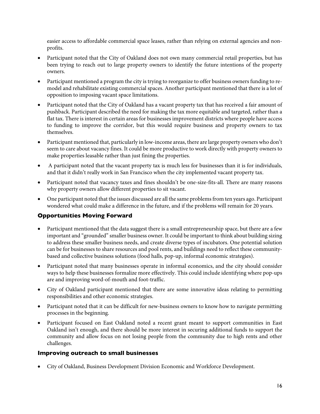easier access to affordable commercial space leases, rather than relying on external agencies and nonprofits.

- Participant noted that the City of Oakland does not own many commercial retail properties, but has been trying to reach out to large property owners to identify the future intentions of the property owners.
- Participant mentioned a program the city is trying to reorganize to offer business owners funding to remodel and rehabilitate existing commercial spaces. Another participant mentioned that there is a lot of opposition to imposing vacant space limitations.
- Participant noted that the City of Oakland has a vacant property tax that has received a fair amount of pushback. Participant described the need for making the tax more equitable and targeted, rather than a flat tax. There is interest in certain areas for businesses improvement districts where people have access to funding to improve the corridor, but this would require business and property owners to tax themselves.
- Participant mentioned that, particularly in low-income areas, there are large property owners who don't seem to care about vacancy fines. It could be more productive to work directly with property owners to make properties leasable rather than just fining the properties.
- A participant noted that the vacant property tax is much less for businesses than it is for individuals, and that it didn't really work in San Francisco when the city implemented vacant property tax.
- Participant noted that vacancy taxes and fines shouldn't be one-size-fits-all. There are many reasons why property owners allow different properties to sit vacant.
- One participant noted that the issues discussed are all the same problems from ten years ago. Participant wondered what could make a difference in the future, and if the problems will remain for 20 years.

## **Opportunities Moving Forward**

- Participant mentioned that the data suggest there is a small entrepreneurship space, but there are a few important and "grounded" smaller business owner. It could be important to think about building sizing to address these smaller business needs, and create diverse types of incubators. One potential solution can be for businesses to share resources and pool rents, and buildings need to reflect these communitybased and collective business solutions (food halls, pop-up, informal economic strategies).
- Participant noted that many businesses operate in informal economics, and the city should consider ways to help these businesses formalize more effectively. This could include identifying where pop-ups are and improving word-of-mouth and foot-traffic.
- City of Oakland participant mentioned that there are some innovative ideas relating to permitting responsibilities and other economic strategies.
- Participant noted that it can be difficult for new-business owners to know how to navigate permitting processes in the beginning.
- Participant focused on East Oakland noted a recent grant meant to support communities in East Oakland isn't enough, and there should be more interest in securing additional funds to support the community and allow focus on not losing people from the community due to high rents and other challenges.

#### **Improving outreach to small businesses**

• City of Oakland, Business Development Division Economic and Workforce Development.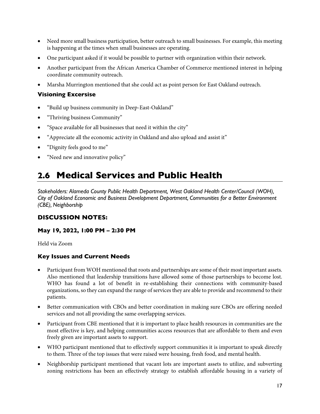- <span id="page-17-0"></span>• Need more small business participation, better outreach to small businesses. For example, this meeting is happening at the times when small businesses are operating.
- One participant asked if it would be possible to partner with organization within their network.
- Another participant from the African America Chamber of Commerce mentioned interest in helping coordinate community outreach.
- Marsha Murrington mentioned that she could act as point person for East Oakland outreach.

## **Visioning Excersise**

- "Build up business community in Deep-East-Oakland"
- "Thriving business Community"
- "Space available for all businesses that need it within the city"
- "Appreciate all the economic activity in Oakland and also upload and assist it"
- "Dignity feels good to me"
- "Need new and innovative policy"

## **2.6 Medical Services and Public Health**

*Stakeholders: Alameda County Public Health Department, West Oakland Health Center/Council (WOH), City of Oakland Economic and Business Development Department, Communities for a Better Environment (CBE), Neighborship* 

## **DISCUSSION NOTES:**

## **May 19, 2022, 1:00 PM – 2:30 PM**

Held via Zoom

- Participant from WOH mentioned that roots and partnerships are some of their most important assets. Also mentioned that leadership transitions have allowed some of those partnerships to become lost. WHO has found a lot of benefit in re-establishing their connections with community-based organizations, so they can expand the range of services they are able to provide and recommend to their patients.
- Better communication with CBOs and better coordination in making sure CBOs are offering needed services and not all providing the same overlapping services.
- Participant from CBE mentioned that it is important to place health resources in communities are the most effective is key, and helping communities access resources that are affordable to them and even freely given are important assets to support.
- WHO participant mentioned that to effectively support communities it is important to speak directly to them. Three of the top issues that were raised were housing, fresh food, and mental health.
- Neighborship participant mentioned that vacant lots are important assets to utilize, and subverting zoning restrictions has been an effectively strategy to establish affordable housing in a variety of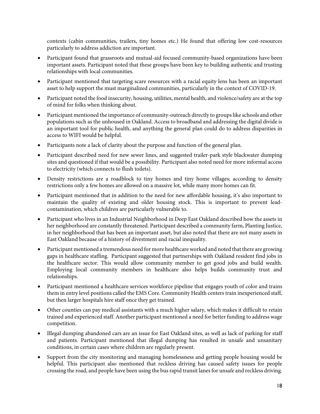contexts (cabin communities, trailers, tiny homes etc.) He found that offering low cost-resources particularly to address addiction are important.

- Participant found that grassroots and mutual-aid focused community-based organizations have been important assets. Participant noted that these groups have been key to building authentic and trusting relationships with local communities.
- Participant mentioned that targeting scare resources with a racial equity lens has been an important asset to help support the must marginalized communities, particularly in the context of COVID-19.
- Participant noted the food insecurity, housing, utilities, mental health, and violence/safety are at the top of mind for folks when thinking about.
- Participant mentioned the importance of community-outreach directly to groups like schools and other populations such as the unhoused in Oakland. Access to broadband and addressing the digital divide is an important tool for public health, and anything the general plan could do to address disparities in access to WIFI would be helpful.
- Participants note a lack of clarity about the purpose and function of the general plan.
- Participant described need for new sewer lines, and suggested trailer-park style blackwater dumping sites and questioned if that would be a possibility. Participant also noted need for more informal access to electricity (which connects to flush toilets).
- Density restrictions are a roadblock to tiny homes and tiny home villages; according to density restrictions only a few homes are allowed on a massive lot, while many more homes can fit.
- Participant mentioned that in addition to the need for new affordable housing, it's also important to maintain the quality of existing and older housing stock. This is important to prevent leadcontamination, which children are particularly vulnerable to.
- Participant who lives in an Industrial Neighborhood in Deep East Oakland described how the assets in her neighborhood are constantly threatened. Participant described a community farm, Planting Justice, in her neighborhood that has been an important asset, but also noted that there are not many assets in East Oakland because of a history of divestment and racial inequality.
- Participant mentioned a tremendous need for more healthcare worked and noted that there are growing gaps in healthcare staffing. Participant suggested that partnerships with Oakland resident find jobs in the healthcare sector. This would allow community member to get good jobs and build wealth. Employing local community members in healthcare also helps builds community trust and relationships.
- Participant mentioned a healthcare services workforce pipeline that engages youth of color and trains them in entry level positions called the EMS Core. Community Health centers train inexperienced staff, but then larger hospitals hire staff once they get trained.
- Other counties can pay medical assistants with a much higher salary, which makes it difficult to retain trained and experienced staff. Another participant mentioned a need for better funding to address wage competition.
- Illegal dumping abandoned cars are an issue for East Oakland sites, as well as lack of parking for staff and patients. Participant mentioned that illegal dumping has resulted in unsafe and unsanitary conditions, in certain cases where children are regularly present.
- Support from the city monitoring and managing homelessness and getting people housing would be helpful. This participant also mentioned that reckless driving has caused safety issues for people crossing the road, and people have been using the bus rapid transit lanes for unsafe and reckless driving.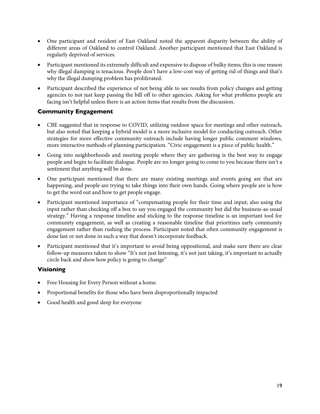- One participant and resident of East Oakland noted the apparent disparity between the ability of different areas of Oakland to control Oakland. Another participant mentioned that East Oakland is regularly deprived of services.
- Participant mentioned its extremely difficult and expensive to dispose of bulky items; this is one reason why illegal dumping is tenacious. People don't have a low-cost way of getting rid of things and that's why the illegal dumping problem has proliferated.
- Participant described the experience of not being able to see results from policy changes and getting agencies to not just keep passing the bill off to other agencies. Asking for what problems people are facing isn't helpful unless there is an action items that results from the discussion.

## **Community Engagement**

- CBE suggested that in response to COVID, utilizing outdoor space for meetings and other outreach, but also noted that keeping a hybrid model is a more inclusive model for conducting outreach. Other strategies for more effective community outreach include having longer public comment windows, more interactive methods of planning participation. "Civic engagement is a piece of public health."
- Going into neighborhoods and meeting people where they are gathering is the best way to engage people and begin to facilitate dialogue. People are no longer going to come to you because there isn't a sentiment that anything will be done.
- One participant mentioned that there are many existing meetings and events going are that are happening, and people are trying to take things into their own hands. Going where people are is how to get the word out and how to get people engage.
- Participant mentioned importance of "compensating people for their time and input; also using the input rather than checking off a box to say you engaged the community but did the business-as-usual strategy." Having a response timeline and sticking to the response timeline is an important tool for community engagement, as well as creating a reasonable timeline that prioritizes early community engagement rather than rushing the process. Participant noted that often community engagement is done last or not done in such a way that doesn't incorporate feedback.
- Participant mentioned that it's important to avoid being oppositional, and make sure there are clear follow-up measures taken to show "It's not just listening, it's not just taking, it's important to actually circle back and show how policy is going to change"

## **Visioning**

- Free Housing for Every Person without a home.
- Proportional benefits for those who have been disproportionally impacted
- Good health and good sleep for everyone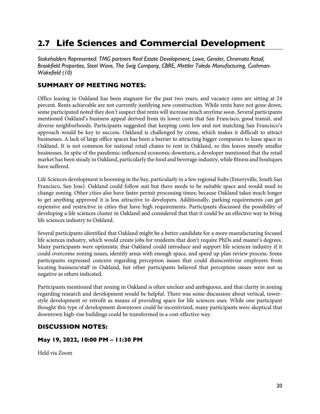## <span id="page-20-0"></span>**2.7 Life Sciences and Commercial Development**

*Stakeholders Represented: TMG partners Real Estate Development, Lowe, Gensler, Chromata Retail, Brookfield Properties, Steel Wave, The Swig Company, CBRE, Mettler Toledo Manufacturing, Cushman-Wakefield (10)*

## **SUMMARY OF MEETING NOTES:**

Office leasing in Oakland has been stagnant for the past two years, and vacancy rates are sitting at 24 percent. Rents achievable are not currently justifying new construction. While rents have not gone down, some participated noted they don't suspect that rents will increase much anytime soon. Several participants mentioned Oakland's business appeal derived from its lower costs that San Francisco, good transit, and diverse neighborhoods. Participants suggested that keeping costs low and not matching San Francisco's approach would be key to success. Oakland is challenged by crime, which makes it difficult to attract businesses. A lack of large office spaces has been a barrier to attracting bigger companies to lease space in Oakland. It is not common for national retail chains to rent in Oakland, so this leaves mostly smaller businesses. In spite of the pandemic-influenced economic downturn, a developer mentioned that the retail market has been steady in Oakland, particularly the food and beverage industry, while fitness and boutiques have suffered.

Life Sciences development is booming in the bay, particularly in a few regional hubs (Emeryville, South San Francisco, San Jose). Oakland could follow suit but there needs to be suitable space and would need to change zoning. Other cities also have faster permit processing times; because Oakland takes much longer to get anything approved it is less attractive to developers. Additionally, parking requirements can get expensive and restrictive in cities that have high requirements. Participants discussed the possibility of developing a life sciences cluster in Oakland and considered that that it could be an effective way to bring life sciences industry to Oakland.

Several participants identified that Oakland might be a better candidate for a more manufacturing focused life sciences industry, which would create jobs for residents that don't require PhDs and master's degrees. Many participants were optimistic that Oakland could introduce and support life sciences industry if it could overcome zoning issues, identify areas with enough space, and speed up plan review process. Some participants expressed concern regarding perception issues that could disincentivize employers from locating business/staff in Oakland, but other participants believed that perception issues were not as negative as others indicated.

Participants mentioned that zoning in Oakland is often unclear and ambiguous, and that clarity in zoning regarding research and development would be helpful. There was some discussion about vertical, towerstyle development or retrofit as means of providing space for life sciences uses. While one participant thought this type of development downtown could be incentivized, many participants were skeptical that downtown high-rise buildings could be transformed in a cost-effective way.

## **DISCUSSION NOTES:**

#### **May 19, 2022, 10:00 PM – 11:30 PM**

Held via Zoom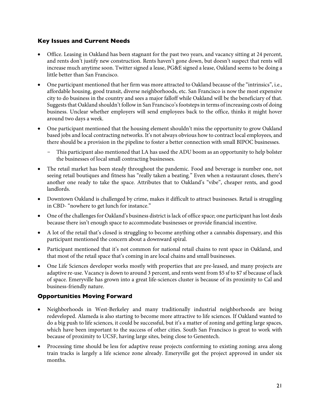#### **Key Issues and Current Needs**

- Office. Leasing in Oakland has been stagnant for the past two years, and vacancy sitting at 24 percent, and rents don't justify new construction. Rents haven't gone down, but doesn't suspect that rents will increase much anytime soon. Twitter signed a lease, PG&E signed a lease, Oakland seems to be doing a little better than San Francisco.
- One participant mentioned that her firm was more attracted to Oakland because of the "intrinsics", i.e., affordable housing, good transit, diverse neighborhoods, etc. San Francisco is now the most expensive city to do business in the country and sees a major falloff while Oakland will be the beneficiary of that. Suggests that Oakland shouldn't follow in San Francisco's footsteps in terms of increasing costs of doing business. Unclear whether employers will send employees back to the office, thinks it might hover around two days a week.
- One participant mentioned that the housing element shouldn't miss the opportunity to grow Oakland based jobs and local contracting networks. It's not always obvious how to contract local employees, and there should be a provision in the pipeline to foster a better connection with small BIPOC businesses.
	- This participant also mentioned that LA has used the ADU boom as an opportunity to help bolster the businesses of local small contracting businesses.
- The retail market has been steady throughout the pandemic. Food and beverage is number one, not seeing retail boutiques and fitness has "really taken a beating." Even when a restaurant closes, there's another one ready to take the space. Attributes that to Oakland's "vibe", cheaper rents, and good landlords.
- Downtown Oakland is challenged by crime, makes it difficult to attract businesses. Retail is struggling in CBD- "nowhere to get lunch for instance."
- One of the challenges for Oakland's business district is lack of office space; one participant has lost deals because there isn't enough space to accommodate businesses or provide financial incentive.
- A lot of the retail that's closed is struggling to become anything other a cannabis dispensary, and this participant mentioned the concern about a downward spiral.
- Participant mentioned that it's not common for national retail chains to rent space in Oakland, and that most of the retail space that's coming in are local chains and small businesses.
- One Life Sciences developer works mostly with properties that are pre-leased, and many projects are adaptive re-use. Vacancy is down to around 3 percent, and rents went from \$5 sf to \$7 sf because of lack of space. Emeryville has grown into a great life-sciences cluster is because of its proximity to Cal and business-friendly nature.

## **Opportunities Moving Forward**

- Neighborhoods in West-Berkeley and many traditionally industrial neighborhoods are being redeveloped. Alameda is also starting to become more attractive to life sciences. If Oakland wanted to do a big push to life sciences, it could be successful, but it's a matter of zoning and getting large spaces, which have been important to the success of other cities. South San Francisco is great to work with because of proximity to UCSF, having large sites, being close to Genentech.
- Processing time should be less for adaptive reuse projects conforming to existing zoning; area along train tracks is largely a life science zone already. Emeryville got the project approved in under six months.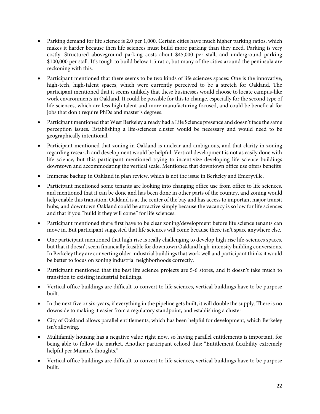- Parking demand for life science is 2.0 per 1,000. Certain cities have much higher parking ratios, which makes it harder because then life sciences must build more parking than they need. Parking is very costly. Structured aboveground parking costs about \$45,000 per stall, and underground parking \$100,000 per stall. It's tough to build below 1.5 ratio, but many of the cities around the peninsula are reckoning with this.
- Participant mentioned that there seems to be two kinds of life sciences spaces: One is the innovative, high-tech, high-talent spaces, which were currently perceived to be a stretch for Oakland. The participant mentioned that it seems unlikely that these businesses would choose to locate campus-like work environments in Oakland. It could be possible for this to change, especially for the second type of life sciences, which are less high talent and more manufacturing focused, and could be beneficial for jobs that don't require PhDs and master's degrees.
- Participant mentioned that West Berkeley already had a Life Science presence and doesn't face the same perception issues. Establishing a life-sciences cluster would be necessary and would need to be geographically intentional.
- Participant mentioned that zoning in Oakland is unclear and ambiguous, and that clarity in zoning regarding research and development would be helpful. Vertical development is not as easily done with life science, but this participant mentioned trying to incentivize developing life science buildings downtown and accommodating the vertical scale. Mentioned that downtown office use offers benefits
- Immense backup in Oakland in plan review, which is not the issue in Berkeley and Emeryville.
- Participant mentioned some tenants are looking into changing office use from office to life sciences, and mentioned that it can be done and has been done in other parts of the country, and zoning would help enable this transition. Oakland is at the center of the bay and has access to important major transit hubs, and downtown Oakland could be attractive simply because the vacancy is so low for life sciences and that if you "build it they will come" for life sciences.
- Participant mentioned there first have to be clear zoning/development before life science tenants can move in. But participant suggested that life sciences will come because there isn't space anywhere else.
- One participant mentioned that high rise is really challenging to develop high rise life-sciences spaces, but that it doesn't seem financially feasible for downtown Oakland high-intensity building conversions. In Berkeley they are converting older industrial buildings that work well and participant thinks it would be better to focus on zoning industrial neighborhoods correctly.
- Participant mentioned that the best life science projects are 5-6 stores, and it doesn't take much to transition to existing industrial buildings.
- Vertical office buildings are difficult to convert to life sciences, vertical buildings have to be purpose built.
- In the next five or six-years, if everything in the pipeline gets built, it will double the supply. There is no downside to making it easier from a regulatory standpoint, and establishing a cluster.
- City of Oakland allows parallel entitlements, which has been helpful for development, which Berkeley isn't allowing.
- Multifamily housing has a negative value right now, so having parallel entitlements is important, for being able to follow the market. Another participant echoed this: "Entitlement flexibility extremely helpful per Manan's thoughts."
- Vertical office buildings are difficult to convert to life sciences, vertical buildings have to be purpose built.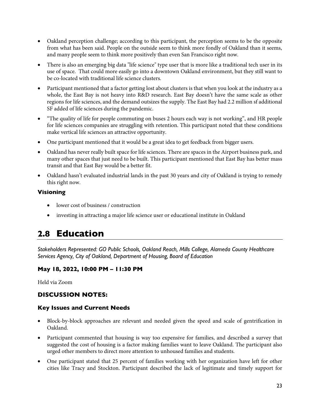- <span id="page-23-0"></span>• Oakland perception challenge; according to this participant, the perception seems to be the opposite from what has been said. People on the outside seem to think more fondly of Oakland than it seems, and many people seem to think more positively than even San Francisco right now.
- There is also an emerging big data "life science" type user that is more like a traditional tech user in its use of space. That could more easily go into a downtown Oakland environment, but they still want to be co-located with traditional life science clusters.
- Participant mentioned that a factor getting lost about clusters is that when you look at the industry as a whole, the East Bay is not heavy into R&D research. East Bay doesn't have the same scale as other regions for life sciences, and the demand outsizes the supply. The East Bay had 2.2 million sf additional SF added of life sciences during the pandemic.
- "The quality of life for people commuting on buses 2 hours each way is not working", and HR people for life sciences companies are struggling with retention. This participant noted that these conditions make vertical life sciences an attractive opportunity.
- One participant mentioned that it would be a great idea to get feedback from bigger users.
- Oakland has never really built space for life sciences. There are spaces in the Airport business park, and many other spaces that just need to be built. This participant mentioned that East Bay has better mass transit and that East Bay would be a better fit.
- Oakland hasn't evaluated industrial lands in the past 30 years and city of Oakland is trying to remedy this right now.

#### **Visioning**

- lower cost of business / construction
- investing in attracting a major life science user or educational institute in Oakland

## **2.8 Education**

*Stakeholders Represented: GO Public Schools, Oakland Reach, Mills College, Alameda County Healthcare Services Agency, City of Oakland, Department of Housing, Board of Education* 

#### **May 18, 2022, 10:00 PM – 11:30 PM**

Held via Zoom

## **DISCUSSION NOTES:**

- Block-by-block approaches are relevant and needed given the speed and scale of gentrification in Oakland.
- Participant commented that housing is way too expensive for families, and described a survey that suggested the cost of housing is a factor making families want to leave Oakland. The participant also urged other members to direct more attention to unhoused families and students.
- One participant stated that 25 percent of families working with her organization have left for other cities like Tracy and Stockton. Participant described the lack of legitimate and timely support for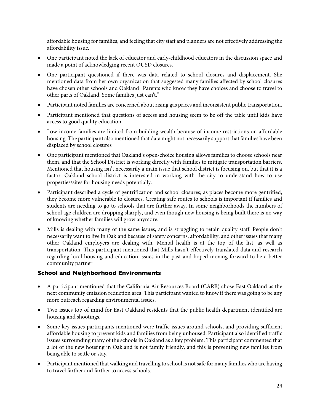affordable housing for families, and feeling that city staff and planners are not effectively addressing the affordability issue.

- One participant noted the lack of educator and early-childhood educators in the discussion space and made a point of acknowledging recent OUSD closures.
- One participant questioned if there was data related to school closures and displacement. She mentioned data from her own organization that suggested many families affected by school closures have chosen other schools and Oakland "Parents who know they have choices and choose to travel to other parts of Oakland. Some families just can't."
- Participant noted families are concerned about rising gas prices and inconsistent public transportation.
- Participant mentioned that questions of access and housing seem to be off the table until kids have access to good quality education.
- Low-income families are limited from building wealth because of income restrictions on affordable housing. The participant also mentioned that data might not necessarily support that families have been displaced by school closures
- One participant mentioned that Oakland's open-choice housing allows families to choose schools near them, and that the School District is working directly with families to mitigate transportation barriers. Mentioned that housing isn't necessarily a main issue that school district is focusing on, but that it is a factor. Oakland school district is interested in working with the city to understand how to use properties/sites for housing needs potentially.
- Participant described a cycle of gentrification and school closures; as places become more gentrified, they become more vulnerable to closures. Creating safe routes to schools is important if families and students are needing to go to schools that are further away. In some neighborhoods the numbers of school age children are dropping sharply, and even though new housing is being built there is no way of knowing whether families will grow anymore.
- Mills is dealing with many of the same issues, and is struggling to retain quality staff. People don't necessarily want to live in Oakland because of safety concerns, affordability, and other issues that many other Oakland employers are dealing with. Mental health is at the top of the list, as well as transportation. This participant mentioned that Mills hasn't effectively translated data and research regarding local housing and education issues in the past and hoped moving forward to be a better community partner.

#### **School and Neighborhood Environments**

- A participant mentioned that the California Air Resources Board (CARB) chose East Oakland as the next community emission reduction area. This participant wanted to know if there was going to be any more outreach regarding environmental issues.
- Two issues top of mind for East Oakland residents that the public health department identified are housing and shootings.
- Some key issues participants mentioned were traffic issues around schools, and providing sufficient affordable housing to prevent kids and families from being unhoused. Participant also identified traffic issues surrounding many of the schools in Oakland as a key problem. This participant commented that a lot of the new housing in Oakland is not family friendly, and this is preventing new families from being able to settle or stay.
- Participant mentioned that walking and travelling to school is not safe for many families who are having to travel farther and farther to access schools.